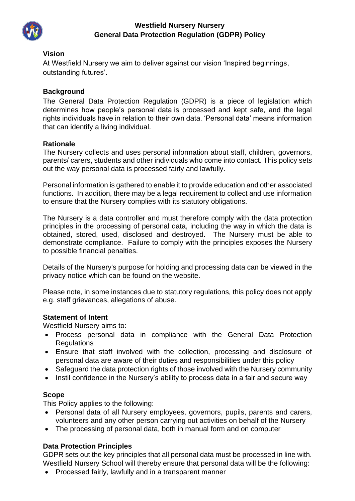

## **Westfield Nursery Nursery General Data Protection Regulation (GDPR) Policy**

#### **Vision**

At Westfield Nursery we aim to deliver against our vision 'Inspired beginnings, outstanding futures'.

### **Background**

The General Data Protection Regulation (GDPR) is a piece of legislation which determines how people's personal data is processed and kept safe, and the legal rights individuals have in relation to their own data. 'Personal data' means information that can identify a living individual.

### **Rationale**

The Nursery collects and uses personal information about staff, children, governors, parents/ carers, students and other individuals who come into contact. This policy sets out the way personal data is processed fairly and lawfully.

Personal information is gathered to enable it to provide education and other associated functions. In addition, there may be a legal requirement to collect and use information to ensure that the Nursery complies with its statutory obligations.

The Nursery is a data controller and must therefore comply with the data protection principles in the processing of personal data, including the way in which the data is obtained, stored, used, disclosed and destroyed. The Nursery must be able to demonstrate compliance. Failure to comply with the principles exposes the Nursery to possible financial penalties.

Details of the Nursery's purpose for holding and processing data can be viewed in the privacy notice which can be found on the website.

Please note, in some instances due to statutory regulations, this policy does not apply e.g. staff grievances, allegations of abuse.

### **Statement of Intent**

Westfield Nursery aims to:

- Process personal data in compliance with the General Data Protection **Regulations**
- Ensure that staff involved with the collection, processing and disclosure of personal data are aware of their duties and responsibilities under this policy
- Safeguard the data protection rights of those involved with the Nursery community
- Instil confidence in the Nursery's ability to process data in a fair and secure way

### **Scope**

This Policy applies to the following:

- Personal data of all Nursery employees, governors, pupils, parents and carers, volunteers and any other person carrying out activities on behalf of the Nursery
- The processing of personal data, both in manual form and on computer

### **Data Protection Principles**

GDPR sets out the key principles that all personal data must be processed in line with. Westfield Nursery School will thereby ensure that personal data will be the following:

• Processed fairly, lawfully and in a transparent manner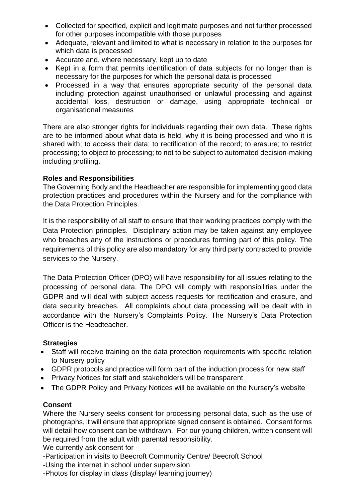- Collected for specified, explicit and legitimate purposes and not further processed for other purposes incompatible with those purposes
- Adequate, relevant and limited to what is necessary in relation to the purposes for which data is processed
- Accurate and, where necessary, kept up to date
- Kept in a form that permits identification of data subjects for no longer than is necessary for the purposes for which the personal data is processed
- Processed in a way that ensures appropriate security of the personal data including protection against unauthorised or unlawful processing and against accidental loss, destruction or damage, using appropriate technical or organisational measures

There are also stronger rights for individuals regarding their own data. These rights are to be informed about what data is held, why it is being processed and who it is shared with; to access their data; to rectification of the record; to erasure; to restrict processing; to object to processing; to not to be subject to automated decision-making including profiling.

### **Roles and Responsibilities**

The Governing Body and the Headteacher are responsible for implementing good data protection practices and procedures within the Nursery and for the compliance with the Data Protection Principles.

It is the responsibility of all staff to ensure that their working practices comply with the Data Protection principles. Disciplinary action may be taken against any employee who breaches any of the instructions or procedures forming part of this policy. The requirements of this policy are also mandatory for any third party contracted to provide services to the Nursery.

The Data Protection Officer (DPO) will have responsibility for all issues relating to the processing of personal data. The DPO will comply with responsibilities under the GDPR and will deal with subject access requests for rectification and erasure, and data security breaches. All complaints about data processing will be dealt with in accordance with the Nursery's Complaints Policy. The Nursery's Data Protection Officer is the Headteacher.

### **Strategies**

- Staff will receive training on the data protection requirements with specific relation to Nursery policy
- GDPR protocols and practice will form part of the induction process for new staff
- Privacy Notices for staff and stakeholders will be transparent
- The GDPR Policy and Privacy Notices will be available on the Nursery's website

### **Consent**

Where the Nursery seeks consent for processing personal data, such as the use of photographs, it will ensure that appropriate signed consent is obtained. Consent forms will detail how consent can be withdrawn. For our young children, written consent will be required from the adult with parental responsibility.

We currently ask consent for

-Participation in visits to Beecroft Community Centre/ Beecroft School

-Using the internet in school under supervision

-Photos for display in class (display/ learning journey)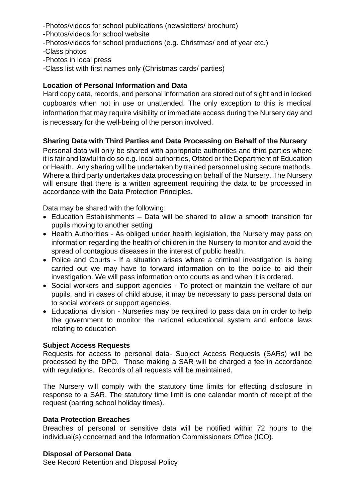-Photos/videos for school publications (newsletters/ brochure)

- -Photos/videos for school website
- -Photos/videos for school productions (e.g. Christmas/ end of year etc.)
- -Class photos
- -Photos in local press
- -Class list with first names only (Christmas cards/ parties)

## **Location of Personal Information and Data**

Hard copy data, records, and personal information are stored out of sight and in locked cupboards when not in use or unattended. The only exception to this is medical information that may require visibility or immediate access during the Nursery day and is necessary for the well-being of the person involved.

## **Sharing Data with Third Parties and Data Processing on Behalf of the Nursery**

Personal data will only be shared with appropriate authorities and third parties where it is fair and lawful to do so e.g. local authorities, Ofsted or the Department of Education or Health. Any sharing will be undertaken by trained personnel using secure methods. Where a third party undertakes data processing on behalf of the Nursery. The Nursery will ensure that there is a written agreement requiring the data to be processed in accordance with the Data Protection Principles.

Data may be shared with the following:

- Education Establishments Data will be shared to allow a smooth transition for pupils moving to another setting
- Health Authorities As obliged under health legislation, the Nursery may pass on information regarding the health of children in the Nursery to monitor and avoid the spread of contagious diseases in the interest of public health.
- Police and Courts If a situation arises where a criminal investigation is being carried out we may have to forward information on to the police to aid their investigation. We will pass information onto courts as and when it is ordered.
- Social workers and support agencies To protect or maintain the welfare of our pupils, and in cases of child abuse, it may be necessary to pass personal data on to social workers or support agencies.
- Educational division Nurseries may be required to pass data on in order to help the government to monitor the national educational system and enforce laws relating to education

### **Subject Access Requests**

Requests for access to personal data- Subject Access Requests (SARs) will be processed by the DPO. Those making a SAR will be charged a fee in accordance with regulations. Records of all requests will be maintained.

The Nursery will comply with the statutory time limits for effecting disclosure in response to a SAR. The statutory time limit is one calendar month of receipt of the request (barring school holiday times).

### **Data Protection Breaches**

Breaches of personal or sensitive data will be notified within 72 hours to the individual(s) concerned and the Information Commissioners Office (ICO).

### **Disposal of Personal Data**

See Record Retention and Disposal Policy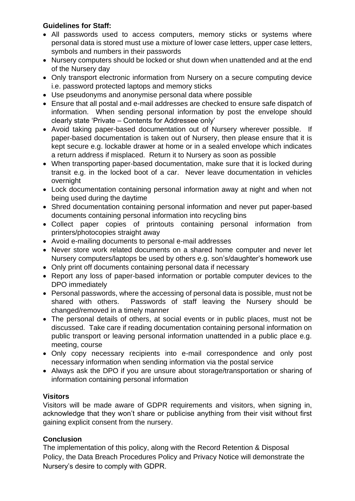## **Guidelines for Staff:**

- All passwords used to access computers, memory sticks or systems where personal data is stored must use a mixture of lower case letters, upper case letters, symbols and numbers in their passwords
- Nursery computers should be locked or shut down when unattended and at the end of the Nursery day
- Only transport electronic information from Nursery on a secure computing device i.e. password protected laptops and memory sticks
- Use pseudonyms and anonymise personal data where possible
- Ensure that all postal and e-mail addresses are checked to ensure safe dispatch of information. When sending personal information by post the envelope should clearly state 'Private – Contents for Addressee only'
- Avoid taking paper-based documentation out of Nursery wherever possible. If paper-based documentation is taken out of Nursery, then please ensure that it is kept secure e.g. lockable drawer at home or in a sealed envelope which indicates a return address if misplaced. Return it to Nursery as soon as possible
- When transporting paper-based documentation, make sure that it is locked during transit e.g. in the locked boot of a car. Never leave documentation in vehicles overnight
- Lock documentation containing personal information away at night and when not being used during the daytime
- Shred documentation containing personal information and never put paper-based documents containing personal information into recycling bins
- Collect paper copies of printouts containing personal information from printers/photocopies straight away
- Avoid e-mailing documents to personal e-mail addresses
- Never store work related documents on a shared home computer and never let Nursery computers/laptops be used by others e.g. son's/daughter's homework use
- Only print off documents containing personal data if necessary
- Report any loss of paper-based information or portable computer devices to the DPO immediately
- Personal passwords, where the accessing of personal data is possible, must not be shared with others. Passwords of staff leaving the Nursery should be changed/removed in a timely manner
- The personal details of others, at social events or in public places, must not be discussed. Take care if reading documentation containing personal information on public transport or leaving personal information unattended in a public place e.g. meeting, course
- Only copy necessary recipients into e-mail correspondence and only post necessary information when sending information via the postal service
- Always ask the DPO if you are unsure about storage/transportation or sharing of information containing personal information

## **Visitors**

Visitors will be made aware of GDPR requirements and visitors, when signing in, acknowledge that they won't share or publicise anything from their visit without first gaining explicit consent from the nursery.

## **Conclusion**

The implementation of this policy, along with the Record Retention & Disposal Policy, the Data Breach Procedures Policy and Privacy Notice will demonstrate the Nursery's desire to comply with GDPR.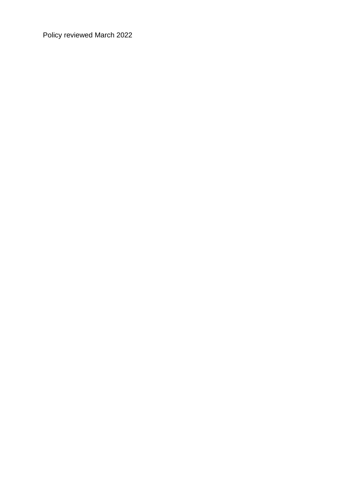Policy reviewed March 2022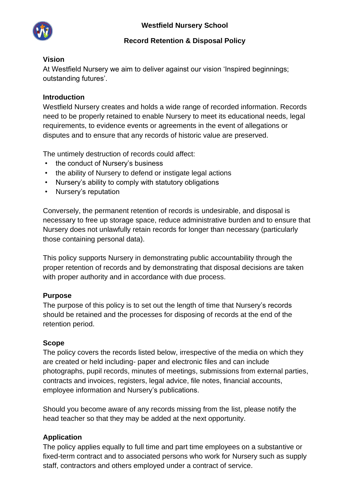

## **Record Retention & Disposal Policy**

## **Vision**

At Westfield Nursery we aim to deliver against our vision 'Inspired beginnings; outstanding futures'.

## **Introduction**

Westfield Nursery creates and holds a wide range of recorded information. Records need to be properly retained to enable Nursery to meet its educational needs, legal requirements, to evidence events or agreements in the event of allegations or disputes and to ensure that any records of historic value are preserved.

The untimely destruction of records could affect:

- the conduct of Nursery's business
- the ability of Nursery to defend or instigate legal actions
- Nursery's ability to comply with statutory obligations
- Nursery's reputation

Conversely, the permanent retention of records is undesirable, and disposal is necessary to free up storage space, reduce administrative burden and to ensure that Nursery does not unlawfully retain records for longer than necessary (particularly those containing personal data).

This policy supports Nursery in demonstrating public accountability through the proper retention of records and by demonstrating that disposal decisions are taken with proper authority and in accordance with due process.

## **Purpose**

The purpose of this policy is to set out the length of time that Nursery's records should be retained and the processes for disposing of records at the end of the retention period.

## **Scope**

The policy covers the records listed below, irrespective of the media on which they are created or held including- paper and electronic files and can include photographs, pupil records, minutes of meetings, submissions from external parties, contracts and invoices, registers, legal advice, file notes, financial accounts, employee information and Nursery's publications.

Should you become aware of any records missing from the list, please notify the head teacher so that they may be added at the next opportunity.

## **Application**

The policy applies equally to full time and part time employees on a substantive or fixed-term contract and to associated persons who work for Nursery such as supply staff, contractors and others employed under a contract of service.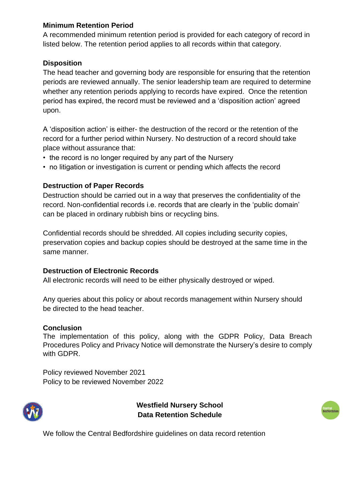## **Minimum Retention Period**

A recommended minimum retention period is provided for each category of record in listed below. The retention period applies to all records within that category.

## **Disposition**

The head teacher and governing body are responsible for ensuring that the retention periods are reviewed annually. The senior leadership team are required to determine whether any retention periods applying to records have expired. Once the retention period has expired, the record must be reviewed and a 'disposition action' agreed upon.

A 'disposition action' is either- the destruction of the record or the retention of the record for a further period within Nursery. No destruction of a record should take place without assurance that:

- the record is no longer required by any part of the Nursery
- no litigation or investigation is current or pending which affects the record

### **Destruction of Paper Records**

Destruction should be carried out in a way that preserves the confidentiality of the record. Non-confidential records i.e. records that are clearly in the 'public domain' can be placed in ordinary rubbish bins or recycling bins.

Confidential records should be shredded. All copies including security copies, preservation copies and backup copies should be destroyed at the same time in the same manner.

### **Destruction of Electronic Records**

All electronic records will need to be either physically destroyed or wiped.

Any queries about this policy or about records management within Nursery should be directed to the head teacher.

### **Conclusion**

The implementation of this policy, along with the GDPR Policy, Data Breach Procedures Policy and Privacy Notice will demonstrate the Nursery's desire to comply with GDPR.

Policy reviewed November 2021 Policy to be reviewed November 2022



**Westfield Nursery School Data Retention Schedule** 



We follow the Central Bedfordshire guidelines on data record retention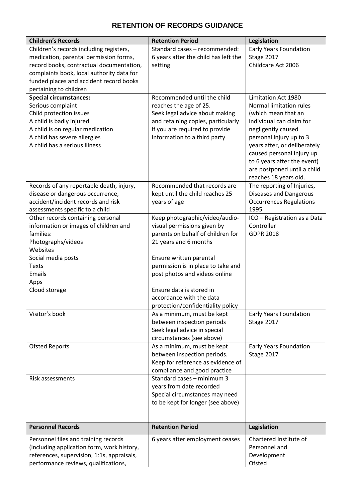# **RETENTION OF RECORDS GUIDANCE**

| <b>Children's Records</b>                          | <b>Retention Period</b>              | Legislation                                |
|----------------------------------------------------|--------------------------------------|--------------------------------------------|
| Children's records including registers,            | Standard cases - recommended:        | <b>Early Years Foundation</b>              |
| medication, parental permission forms,             | 6 years after the child has left the | Stage 2017                                 |
| record books, contractual documentation,           | setting                              | Childcare Act 2006                         |
| complaints book, local authority data for          |                                      |                                            |
| funded places and accident record books            |                                      |                                            |
| pertaining to children                             |                                      |                                            |
| <b>Special circumstances:</b>                      | Recommended until the child          | Limitation Act 1980                        |
| Serious complaint                                  | reaches the age of 25.               | <b>Normal limitation rules</b>             |
| Child protection issues                            | Seek legal advice about making       | (which mean that an                        |
| A child is badly injured                           | and retaining copies, particularly   | individual can claim for                   |
| A child is on regular medication                   | if you are required to provide       | negligently caused                         |
| A child has severe allergies                       | information to a third party         | personal injury up to 3                    |
| A child has a serious illness                      |                                      | years after, or deliberately               |
|                                                    |                                      | caused personal injury up                  |
|                                                    |                                      | to 6 years after the event)                |
|                                                    |                                      | are postponed until a child                |
|                                                    |                                      | reaches 18 years old.                      |
| Records of any reportable death, injury,           | Recommended that records are         | The reporting of Injuries,                 |
| disease or dangerous occurrence,                   | kept until the child reaches 25      | <b>Diseases and Dangerous</b>              |
| accident/incident records and risk                 | years of age                         | <b>Occurrences Regulations</b>             |
| assessments specific to a child                    |                                      | 1995                                       |
| Other records containing personal                  |                                      |                                            |
|                                                    | Keep photographic/video/audio-       | ICO - Registration as a Data<br>Controller |
| information or images of children and<br>families: | visual permissions given by          | <b>GDPR 2018</b>                           |
|                                                    | parents on behalf of children for    |                                            |
| Photographs/videos                                 | 21 years and 6 months                |                                            |
| Websites                                           |                                      |                                            |
| Social media posts                                 | Ensure written parental              |                                            |
| <b>Texts</b>                                       | permission is in place to take and   |                                            |
| Emails                                             | post photos and videos online        |                                            |
| Apps                                               |                                      |                                            |
| Cloud storage                                      | Ensure data is stored in             |                                            |
|                                                    | accordance with the data             |                                            |
|                                                    | protection/confidentiality policy    |                                            |
| Visitor's book                                     | As a minimum, must be kept           | <b>Early Years Foundation</b>              |
|                                                    | between inspection periods           | Stage 2017                                 |
|                                                    | Seek legal advice in special         |                                            |
|                                                    | circumstances (see above)            |                                            |
| <b>Ofsted Reports</b>                              | As a minimum, must be kept           | <b>Early Years Foundation</b>              |
|                                                    | between inspection periods.          | Stage 2017                                 |
|                                                    | Keep for reference as evidence of    |                                            |
|                                                    | compliance and good practice         |                                            |
| Risk assessments                                   | Standard cases - minimum 3           |                                            |
|                                                    | years from date recorded             |                                            |
|                                                    | Special circumstances may need       |                                            |
|                                                    | to be kept for longer (see above)    |                                            |
|                                                    |                                      |                                            |
| <b>Personnel Records</b>                           | <b>Retention Period</b>              | Legislation                                |
| Personnel files and training records               | 6 years after employment ceases      | Chartered Institute of                     |
| (including application form, work history,         |                                      | Personnel and                              |
| references, supervision, 1:1s, appraisals,         |                                      | Development                                |
| performance reviews, qualifications,               |                                      | Ofsted                                     |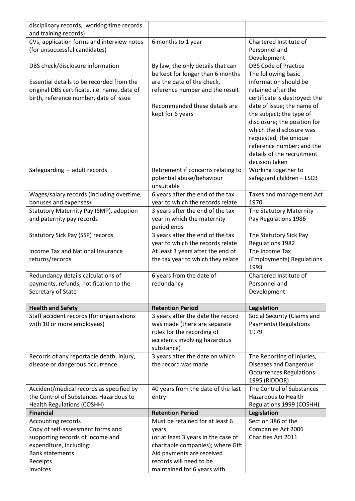| disciplinary records, working time records   |                                                                      |                                                 |
|----------------------------------------------|----------------------------------------------------------------------|-------------------------------------------------|
| and training records)                        |                                                                      |                                                 |
| CVs, application forms and interview notes   | 6 months to 1 year                                                   | Chartered Institute of                          |
| (for unsuccessful candidates)                |                                                                      | Personnel and                                   |
| DBS check/disclosure information             | By law, the only details that can                                    | Development<br><b>DBS Code of Practice</b>      |
|                                              | be kept for longer than 6 months                                     | The following basic                             |
| Essential details to be recorded from the    | are the date of the check,                                           | information should be                           |
| original DBS certificate, i.e. name, date of | reference number and the result                                      | retained after the                              |
| birth, reference number, date of issue       |                                                                      | certificate is destroyed: the                   |
|                                              | Recommended these details are                                        | date of issue; the name of                      |
|                                              | kept for 6 years                                                     | the subject; the type of                        |
|                                              |                                                                      | disclosure; the position for                    |
|                                              |                                                                      | which the disclosure was                        |
|                                              |                                                                      | requested; the unique                           |
|                                              |                                                                      | reference number; and the                       |
|                                              |                                                                      | details of the recruitment                      |
|                                              |                                                                      | decision taken                                  |
| Safeguarding - adult records                 | Retirement if concerns relating to                                   | Working together to                             |
|                                              | potential abuse/behaviour                                            | safeguard children - LSCB                       |
|                                              | unsuitable                                                           |                                                 |
| Wages/salary records (including overtime,    | 6 years after the end of the tax                                     | Taxes and management Act                        |
| bonuses and expenses)                        | year to which the records relate                                     | 1970                                            |
| Statutory Maternity Pay (SMP), adoption      | 3 years after the end of the tax                                     | The Statutory Maternity                         |
| and paternity pay records                    | year in which the maternity                                          | Pay Regulations 1986                            |
|                                              | period ends                                                          |                                                 |
| <b>Statutory Sick Pay (SSP) records</b>      | 3 years after the end of the tax<br>year to which the records relate | The Statutory Sick Pay<br>Regulations 1982      |
|                                              |                                                                      |                                                 |
|                                              |                                                                      |                                                 |
| <b>Income Tax and National Insurance</b>     | At least 3 years after the end of                                    | The Income Tax                                  |
| returns/records                              | the tax year to which they relate                                    | (Employments) Regulations<br>1993               |
| Redundancy details calculations of           | 6 years from the date of                                             | Chartered Institute of                          |
| payments, refunds, notification to the       | redundancy                                                           | Personnel and                                   |
| Secretary of State                           |                                                                      | Development                                     |
|                                              |                                                                      |                                                 |
| <b>Health and Safety</b>                     | <b>Retention Period</b>                                              | Legislation                                     |
| Staff accident records (for organisations    | 3 years after the date the record                                    | Social Security (Claims and                     |
| with 10 or more employees)                   | was made (there are separate                                         | Payments) Regulations                           |
|                                              | rules for the recording of                                           | 1979                                            |
|                                              | accidents involving hazardous                                        |                                                 |
|                                              | substance)                                                           |                                                 |
| Records of any reportable death, injury,     | 3 years after the date on which<br>the record was made               | The Reporting of Injuries,                      |
| disease or dangerous occurrence              |                                                                      | Diseases and Dangerous                          |
|                                              |                                                                      | <b>Occurrences Regulations</b><br>1995 (RIDDOR) |
| Accident/medical records as specified by     | 40 years from the date of the last                                   | The Control of Substances                       |
| the Control of Substances Hazardous to       | entry                                                                | <b>Hazardous to Health</b>                      |
| <b>Health Regulations (COSHH)</b>            |                                                                      | Regulations 1999 (COSHH)                        |
| <b>Financial</b>                             | <b>Retention Period</b>                                              | Legislation                                     |
| Accounting records                           | Must be retained for at least 6                                      | Section 386 of the                              |
| Copy of self-assessment forms and            | years                                                                | Companies Act 2006                              |
| supporting records of income and             | (or at least 3 years in the case of                                  | Charities Act 2011                              |
| expenditure, including:                      | charitable companies); where Gift                                    |                                                 |
| <b>Bank statements</b>                       | Aid payments are received                                            |                                                 |
| Receipts<br>Invoices                         | records will need to be<br>maintained for 6 years with               |                                                 |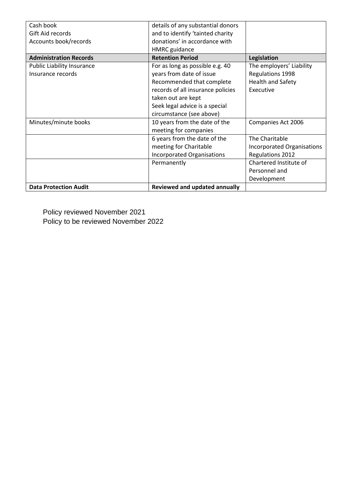| Cash book                         | details of any substantial donors |                            |
|-----------------------------------|-----------------------------------|----------------------------|
| Gift Aid records                  | and to identify 'tainted charity  |                            |
| Accounts book/records             | donations' in accordance with     |                            |
|                                   | <b>HMRC</b> guidance              |                            |
| <b>Administration Records</b>     | <b>Retention Period</b>           | Legislation                |
| <b>Public Liability Insurance</b> | For as long as possible e.g. 40   | The employers' Liability   |
| Insurance records                 | years from date of issue          | Regulations 1998           |
|                                   | Recommended that complete         | <b>Health and Safety</b>   |
|                                   | records of all insurance policies | Executive                  |
|                                   | taken out are kept                |                            |
|                                   | Seek legal advice is a special    |                            |
|                                   | circumstance (see above)          |                            |
| Minutes/minute books              | 10 years from the date of the     | Companies Act 2006         |
|                                   | meeting for companies             |                            |
|                                   | 6 years from the date of the      | The Charitable             |
|                                   | meeting for Charitable            | Incorporated Organisations |
|                                   | <b>Incorporated Organisations</b> | <b>Regulations 2012</b>    |
|                                   | Permanently                       | Chartered Institute of     |
|                                   |                                   | Personnel and              |
|                                   |                                   | Development                |
| <b>Data Protection Audit</b>      | Reviewed and updated annually     |                            |

Policy reviewed November 2021 Policy to be reviewed November 2022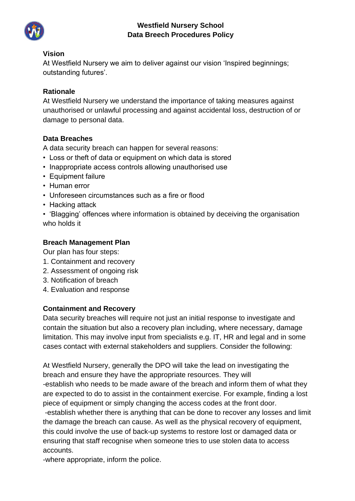

## **Westfield Nursery School Data Breech Procedures Policy**

### **Vision**

At Westfield Nursery we aim to deliver against our vision 'Inspired beginnings; outstanding futures'.

### **Rationale**

At Westfield Nursery we understand the importance of taking measures against unauthorised or unlawful processing and against accidental loss, destruction of or damage to personal data.

### **Data Breaches**

A data security breach can happen for several reasons:

- Loss or theft of data or equipment on which data is stored
- Inappropriate access controls allowing unauthorised use
- Equipment failure
- Human error
- Unforeseen circumstances such as a fire or flood
- Hacking attack
- 'Blagging' offences where information is obtained by deceiving the organisation who holds it

## **Breach Management Plan**

Our plan has four steps:

- 1. Containment and recovery
- 2. Assessment of ongoing risk
- 3. Notification of breach
- 4. Evaluation and response

## **Containment and Recovery**

Data security breaches will require not just an initial response to investigate and contain the situation but also a recovery plan including, where necessary, damage limitation. This may involve input from specialists e.g. IT, HR and legal and in some cases contact with external stakeholders and suppliers. Consider the following:

At Westfield Nursery, generally the DPO will take the lead on investigating the breach and ensure they have the appropriate resources. They will -establish who needs to be made aware of the breach and inform them of what they are expected to do to assist in the containment exercise. For example, finding a lost piece of equipment or simply changing the access codes at the front door.

-establish whether there is anything that can be done to recover any losses and limit the damage the breach can cause. As well as the physical recovery of equipment, this could involve the use of back-up systems to restore lost or damaged data or ensuring that staff recognise when someone tries to use stolen data to access accounts.

-where appropriate, inform the police.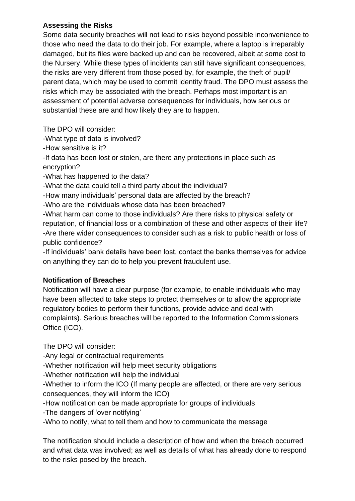## **Assessing the Risks**

Some data security breaches will not lead to risks beyond possible inconvenience to those who need the data to do their job. For example, where a laptop is irreparably damaged, but its files were backed up and can be recovered, albeit at some cost to the Nursery. While these types of incidents can still have significant consequences, the risks are very different from those posed by, for example, the theft of pupil/ parent data, which may be used to commit identity fraud. The DPO must assess the risks which may be associated with the breach. Perhaps most important is an assessment of potential adverse consequences for individuals, how serious or substantial these are and how likely they are to happen.

The DPO will consider:

-What type of data is involved?

-How sensitive is it?

-If data has been lost or stolen, are there any protections in place such as encryption?

-What has happened to the data?

-What the data could tell a third party about the individual?

-How many individuals' personal data are affected by the breach?

-Who are the individuals whose data has been breached?

-What harm can come to those individuals? Are there risks to physical safety or reputation, of financial loss or a combination of these and other aspects of their life? -Are there wider consequences to consider such as a risk to public health or loss of public confidence?

-If individuals' bank details have been lost, contact the banks themselves for advice on anything they can do to help you prevent fraudulent use.

## **Notification of Breaches**

Notification will have a clear purpose (for example, to enable individuals who may have been affected to take steps to protect themselves or to allow the appropriate regulatory bodies to perform their functions, provide advice and deal with complaints). Serious breaches will be reported to the Information Commissioners Office (ICO).

The DPO will consider:

-Any legal or contractual requirements

-Whether notification will help meet security obligations

-Whether notification will help the individual

-Whether to inform the ICO (If many people are affected, or there are very serious consequences, they will inform the ICO)

-How notification can be made appropriate for groups of individuals

-The dangers of 'over notifying'

-Who to notify, what to tell them and how to communicate the message

The notification should include a description of how and when the breach occurred and what data was involved; as well as details of what has already done to respond to the risks posed by the breach.